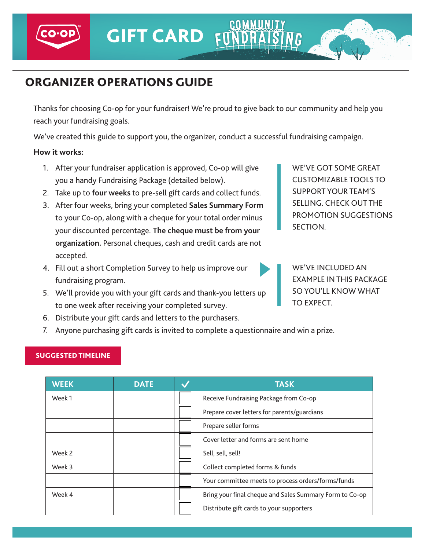# ORGANIZER OPERATIONS GUIDE

Thanks for choosing Co-op for your fundraiser! We're proud to give back to our community and help you reach your fundraising goals.

We've created this guide to support you, the organizer, conduct a successful fundraising campaign.

### **How it works:**

- 1. After your fundraiser application is approved, Co-op will give you a handy Fundraising Package (detailed below).
- 2. Take up to **four weeks** to pre-sell gift cards and collect funds.
- 3. After four weeks, bring your completed **Sales Summary Form** to your Co-op, along with a cheque for your total order minus your discounted percentage. **The cheque must be from your organization.** Personal cheques, cash and credit cards are not accepted.
- 4. Fill out a short Completion Survey to help us improve our fundraising program.

WE'VE GOT SOME GREAT CUSTOMIZABLE TOOLS TO SUPPORT YOUR TEAM'S SELLING. CHECK OUT THE PROMOTION SUGGESTIONS SECTION.

WE'VE INCLUDED AN EXAMPLE IN THIS PACKAGE SO YOU'LL KNOW WHAT TO EXPECT.

- 5. We'll provide you with your gift cards and thank-you letters up to one week after receiving your completed survey.
- 6. Distribute your gift cards and letters to the purchasers.
- 7. Anyone purchasing gift cards is invited to complete a questionnaire and win a prize.

## SUGGESTED TIMELINE

| <b>WEEK</b> | <b>DATE</b> | <b>TASK</b>                                             |
|-------------|-------------|---------------------------------------------------------|
| Week 1      |             | Receive Fundraising Package from Co-op                  |
|             |             | Prepare cover letters for parents/guardians             |
|             |             | Prepare seller forms                                    |
|             |             | Cover letter and forms are sent home                    |
| Week 2      |             | Sell, sell, sell!                                       |
| Week 3      |             | Collect completed forms & funds                         |
|             |             | Your committee meets to process orders/forms/funds      |
| Week 4      |             | Bring your final cheque and Sales Summary Form to Co-op |
|             |             | Distribute gift cards to your supporters                |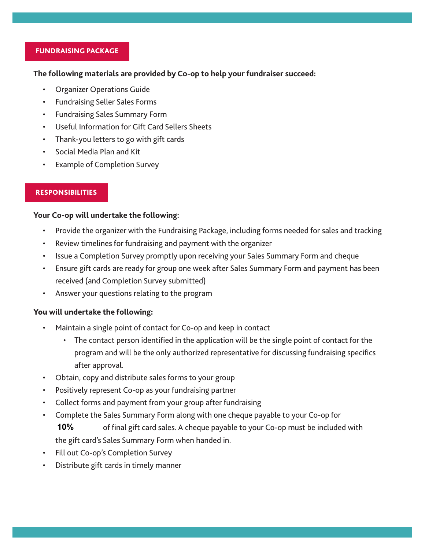#### FUNDRAISING PACKAGE

#### **The following materials are provided by Co-op to help your fundraiser succeed:**

- Organizer Operations Guide
- Fundraising Seller Sales Forms
- Fundraising Sales Summary Form
- Useful Information for Gift Card Sellers Sheets
- Thank-you letters to go with gift cards
- Social Media Plan and Kit
- **Example of Completion Survey**

#### RESPONSIBILITIES

#### **Your Co-op will undertake the following:**

- Provide the organizer with the Fundraising Package, including forms needed for sales and tracking
- Review timelines for fundraising and payment with the organizer
- Issue a Completion Survey promptly upon receiving your Sales Summary Form and cheque
- Ensure gift cards are ready for group one week after Sales Summary Form and payment has been received (and Completion Survey submitted)
- Answer your questions relating to the program

#### You **will undertake the following**:

- Maintain a single point of contact for Co-op and keep in contact
	- The contact person identified in the application will be the single point of contact for the program and will be the only authorized representative for discussing fundraising specifics after approval.
- Obtain, copy and distribute sales forms to your group
- Positively represent Co-op as your fundraising partner
- Collect forms and payment from your group after fundraising
- Complete the Sales Summary Form along with one cheque payable to your Co-op for of final gift card sales. A cheque payable to your Co-op must be included with the gift card's Sales Summary Form when handed in. **10%**
- Fill out Co-op's Completion Survey
- Distribute gift cards in timely manner